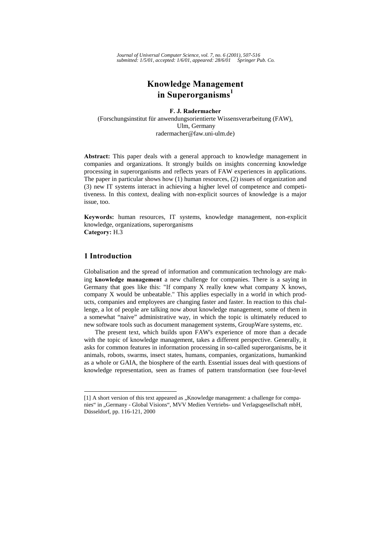*Journal of Universal Computer Science, vol. 7, no. 6 (2001), 507-516 submitted: 1/5/01, accepted: 1/6/01, appeared: 28/6/01 Springer Pub. Co.*

# **Knowledge Management** in Superorganisms<sup>1</sup>

F. J. Radermacher (Forschungsinstitut für anwendungsorientierte Wissensverarbeitung (FAW), Ulm, Germany radermacher@faw.uni-ulm.de)

Abstract: This paper deals with a general approach to knowledge management in companies and organizations. It strongly builds on insights concerning knowledge processing in superorganisms and reflects years of FAW experiences in applications. The paper in particular shows how (1) human resources, (2) issues of organization and (3) new IT systems interact in achieving a higher level of competence and competitiveness. In this context, dealing with non-explicit sources of knowledge is a major issue, too.

Keywords: human resources, IT systems, knowledge management, non-explicit knowledge, organizations, superorganisms Category: H.3

### 1 Introduction

l

Globalisation and the spread of information and communication technology are making knowledge management a new challenge for companies. There is a saying in Germany that goes like this: "If company X really knew what company X knows, company X would be unbeatable." This applies especially in a world in which products, companies and employees are changing faster and faster. In reaction to this challenge, a lot of people are talking now about knowledge management, some of them in a somewhat "naive" administrative way, in which the topic is ultimately reduced to new software tools such as document management systems, GroupWare systems, etc.

The present text, which builds upon FAW's experience of more than a decade with the topic of knowledge management, takes a different perspective. Generally, it asks for common features in information processing in so-called superorganisms, be it animals, robots, swarms, insect states, humans, companies, organizations, humankind as a whole or GAIA, the biosphere of the earth. Essential issues deal with questions of knowledge representation, seen as frames of pattern transformation (see four-level

<sup>[1]</sup> A short version of this text appeared as "Knowledge management: a challenge for companies" in "Germany - Global Visions", MVV Medien Vertriebs- und Verlagsgesellschaft mbH, Düsseldorf, pp. 116-121, 2000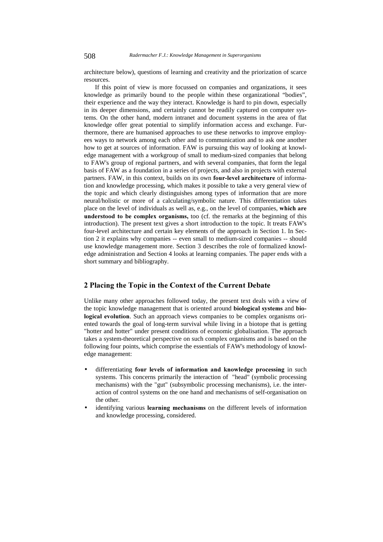architecture below), questions of learning and creativity and the priorization of scarce resources.

If this point of view is more focussed on companies and organizations, it sees knowledge as primarily bound to the people within these organizational "bodies", their experience and the way they interact. Knowledge is hard to pin down, especially in its deeper dimensions, and certainly cannot be readily captured on computer systems. On the other hand, modern intranet and document systems in the area of flat knowledge offer great potential to simplify information access and exchange. Furthermore, there are humanised approaches to use these networks to improve employees ways to network among each other and to communication and to ask one another how to get at sources of information. FAW is pursuing this way of looking at knowledge management with a workgroup of small to medium-sized companies that belong to FAW's group of regional partners, and with several companies, that form the legal basis of FAW as a foundation in a series of projects, and also in projects with external partners. FAW, in this context, builds on its own four-level architecture of information and knowledge processing, which makes it possible to take a very general view of the topic and which clearly distinguishes among types of information that are more neural/holistic or more of a calculating/symbolic nature. This differentiation takes place on the level of individuals as well as, e.g., on the level of companies, which are understood to be complex organisms, too (cf. the remarks at the beginning of this introduction). The present text gives a short introduction to the topic. It treats FAW's four-level architecture and certain key elements of the approach in Section 1. In Section 2 it explains why companies -- even small to medium-sized companies -- should use knowledge management more. Section 3 describes the role of formalized knowledge administration and Section 4 looks at learning companies. The paper ends with a short summary and bibliography.

### 2 Placing the Topic in the Context of the Current Debate

Unlike many other approaches followed today, the present text deals with a view of the topic knowledge management that is oriented around **biological systems** and **bio**logical evolution. Such an approach views companies to be complex organisms oriented towards the goal of long-term survival while living in a biotope that is getting "hotter and hotter" under present conditions of economic globalisation. The approach takes a system-theoretical perspective on such complex organisms and is based on the following four points, which comprise the essentials of FAW's methodology of knowledge management:

- differentiating four levels of information and knowledge processing in such systems. This concerns primarily the interaction of "head" (symbolic processing mechanisms) with the "gut" (subsymbolic processing mechanisms), i.e. the interaction of control systems on the one hand and mechanisms of self-organisation on the other.
- identifying various learning mechanisms on the different levels of information and knowledge processing, considered.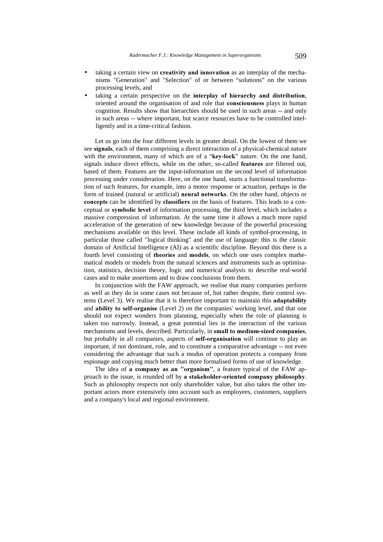- taking a certain view on creativity and innovation as an interplay of the mechanisms "Generation" and "Selection" of or between "solutions" on the various processing levels, and
- taking a certain perspective on the interplay of hierarchy and distribution, oriented around the organisation of and role that **consciousness** plays in human cognition. Results show that hierarchies should be used in such areas -- and only in such areas -- where important, but scarce resources have to be controlled intelligently and in a time-critical fashion.

Let us go into the four different levels in greater detail. On the lowest of them we see signals, each of them comprising a direct interaction of a physical-chemical nature with the environment, many of which are of a "key-lock" nature. On the one hand, signals induce direct effects, while on the other, so-called features are filtered out, based of them. Features are the input-information on the second level of information processing under consideration. Here, on the one hand, starts a functional transformation of such features, for example, into a motor response or actuation, perhaps in the form of trained (natural or artificial) **neural networks**. On the other hand, objects or concepts can be identified by classifiers on the basis of features. This leads to a conceptual or **symbolic level** of information processing, the third level, which includes a massive compression of information. At the same time it allows a much more rapid acceleration of the generation of new knowledge because of the powerful processing mechanisms available on this level. These include all kinds of symbol-processing, in particular those called "logical thinking" and the use of language: this is the classic domain of Artificial Intelligence (AI) as a scientific discipline. Beyond this there is a fourth level consisting of theories and models, on which one uses complex mathematical models or models from the natural sciences and instruments such as optimisation, statistics, decision theory, logic and numerical analysis to describe real-world cases and to make assertions and to draw conclusions from them.

In conjunction with the FAW approach, we realise that many companies perform as well as they do in some cases not because of, but rather despite, their control systems (Level 3). We realise that it is therefore important to maintain this **adaptability** and ability to self-organise (Level 2) on the companies' working level, and that one should not expect wonders from planning, especially when the role of planning is taken too narrowly. Instead, a great potential lies in the interaction of the various mechanisms and levels, described. Particularly, in small to medium-sized companies, but probably in all companies, aspects of self-organisation will continue to play an important, if not dominant, role, and to constitute a comparative advantage -- not even considering the advantage that such a modus of operation protects a company from espionage and copying much better than more formalised forms of use of knowledge.

The idea of a company as an "organism", a feature typical of the FAW approach to the issue, is rounded off by a stakeholder-oriented company philosophy. Such as philosophy respects not only shareholder value, but also takes the other important actors more extensively into account such as employees, customers, suppliers and a company's local and regional environment.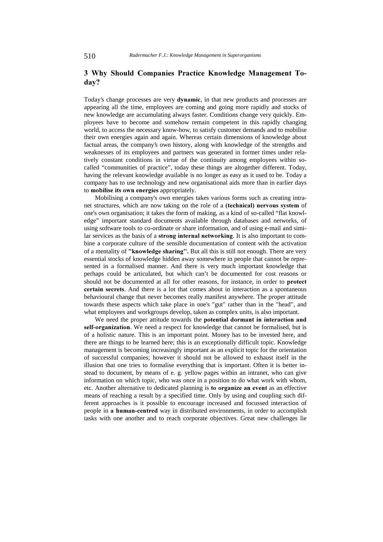### 3 Why Should Companies Practice Knowledge Management Todav?

Today's change processes are very **dynamic**, in that new products and processes are appearing all the time, employees are coming and going more rapidly and stocks of new knowledge are accumulating always faster. Conditions change very quickly. Employees have to become and somehow remain competent in this rapidly changing world, to access the necessary know-how, to satisfy customer demands and to mobilise their own energies again and again. Whereas certain dimensions of knowledge about factual areas, the company's own history, along with knowledge of the strengths and weaknesses of its employees and partners was generated in former times under relatively constant conditions in virtue of the continuity among employees within socalled "communities of practice", today these things are altogether different. Today, having the relevant knowledge available is no longer as easy as it used to be. Today a company has to use technology and new organisational aids more than in earlier days to mobilise its own energies appropriately.

Mobilising a company's own energies takes various forms such as creating intranet structures, which are now taking on the role of a (technical) nervous system of one's own organisation; it takes the form of making, as a kind of so-called "flat knowledge" important standard documents available through databases and networks, of using software tools to co-ordinate or share information, and of using e-mail and similar services as the basis of a strong internal networking. It is also important to combine a corporate culture of the sensible documentation of content with the activation of a mentality of "knowledge sharing". But all this is still not enough. There are very essential stocks of knowledge hidden away somewhere in people that cannot be represented in a formalised manner. And there is very much important knowledge that perhaps could be articulated, but which can't be documented for cost reasons or should not be documented at all for other reasons, for instance, in order to **protect** certain secrets. And there is a lot that comes about in interaction as a spontaneous behavioural change that never becomes really manifest anywhere. The proper attitude towards these aspects which take place in one's "gut" rather than in the "head", and what employees and workgroups develop, taken as complex units, is also important.

We need the proper attitude towards the potential dormant in interaction and self-organization. We need a respect for knowledge that cannot be formalised, but is of a holistic nature. This is an important point. Money has to be invested here, and there are things to be learned here; this is an exceptionally difficult topic. Knowledge management is becoming increasingly important as an explicit topic for the orientation of successful companies; however it should not be allowed to exhaust itself in the illusion that one tries to formalise everything that is important. Often it is better instead to document, by means of e. g. yellow pages within an intranet, who can give information on which topic, who was once in a position to do what work with whom, etc. Another alternative to dedicated planning is to organize an event as an effective means of reaching a result by a specified time. Only by using and coupling such different approaches is it possible to encourage increased and focussed interaction of people in a human-centred way in distributed environments, in order to accomplish tasks with one another and to reach corporate objectives. Great new challenges lie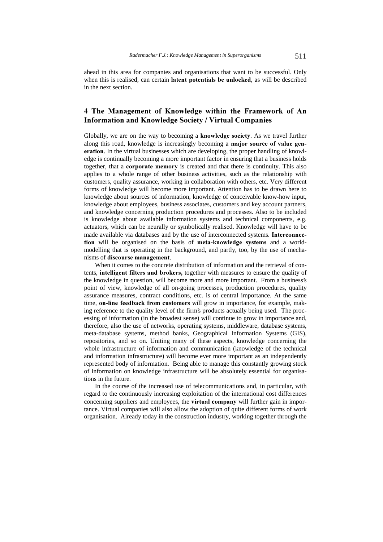ahead in this area for companies and organisations that want to be successful. Only when this is realised, can certain **latent potentials be unlocked**, as will be described in the next section.

## 4 The Management of Knowledge within the Framework of An **Information and Knowledge Society / Virtual Companies**

Globally, we are on the way to becoming a knowledge society. As we travel further along this road, knowledge is increasingly becoming a major source of value generation. In the virtual businesses which are developing, the proper handling of knowledge is continually becoming a more important factor in ensuring that a business holds together, that a **corporate memory** is created and that there is continuity. This also applies to a whole range of other business activities, such as the relationship with customers, quality assurance, working in collaboration with others, etc. Very different forms of knowledge will become more important. Attention has to be drawn here to knowledge about sources of information, knowledge of conceivable know-how input, knowledge about employees, business associates, customers and key account partners, and knowledge concerning production procedures and processes. Also to be included is knowledge about available information systems and technical components, e.g. actuators, which can be neurally or symbolically realised. Knowledge will have to be made available via databases and by the use of interconnected systems. Interconnection will be organised on the basis of meta-knowledge systems and a worldmodelling that is operating in the background, and partly, too, by the use of mechanisms of discourse management.

When it comes to the concrete distribution of information and the retrieval of contents, intelligent filters and brokers, together with measures to ensure the quality of the knowledge in question, will become more and more important. From a business's point of view, knowledge of all on-going processes, production procedures, quality assurance measures, contract conditions, etc. is of central importance. At the same time, on-line feedback from customers will grow in importance, for example, making reference to the quality level of the firm's products actually being used. The processing of information (in the broadest sense) will continue to grow in importance and, therefore, also the use of networks, operating systems, middleware, database systems, meta-database systems, method banks, Geographical Information Systems (GIS), repositories, and so on. Uniting many of these aspects, knowledge concerning the whole infrastructure of information and communication (knowledge of the technical and information infrastructure) will become ever more important as an independently represented body of information. Being able to manage this constantly growing stock of information on knowledge infrastructure will be absolutely essential for organisations in the future.

In the course of the increased use of telecommunications and, in particular, with regard to the continuously increasing exploitation of the international cost differences concerning suppliers and employees, the **virtual company** will further gain in importance. Virtual companies will also allow the adoption of quite different forms of work organisation. Already today in the construction industry, working together through the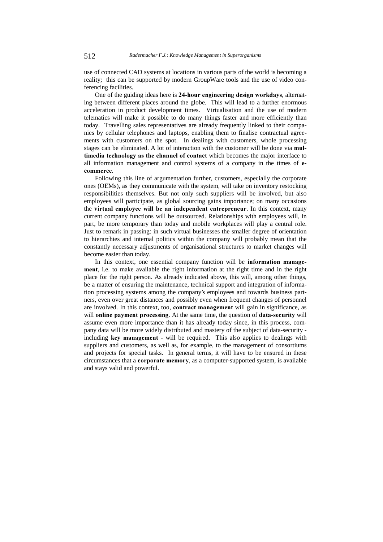use of connected CAD systems at locations in various parts of the world is becoming a reality; this can be supported by modern GroupWare tools and the use of video conferencing facilities.

One of the guiding ideas here is 24-hour engineering design workdays, alternating between different places around the globe. This will lead to a further enormous acceleration in product development times. Virtualisation and the use of modern telematics will make it possible to do many things faster and more efficiently than today. Travelling sales representatives are already frequently linked to their companies by cellular telephones and laptops, enabling them to finalise contractual agreements with customers on the spot. In dealings with customers, whole processing stages can be eliminated. A lot of interaction with the customer will be done via **mul**timedia technology as the channel of contact which becomes the major interface to all information management and control systems of a company in the times of ecommerce.

Following this line of argumentation further, customers, especially the corporate ones (OEMs), as they communicate with the system, will take on inventory restocking responsibilities themselves. But not only such suppliers will be involved, but also employees will participate, as global sourcing gains importance; on many occasions the virtual employee will be an independent entrepreneur. In this context, many current company functions will be outsourced. Relationships with employees will, in part, be more temporary than today and mobile workplaces will play a central role. Just to remark in passing: in such virtual businesses the smaller degree of orientation to hierarchies and internal politics within the company will probably mean that the constantly necessary adjustments of organisational structures to market changes will become easier than today.

In this context, one essential company function will be **information manage**ment, i.e. to make available the right information at the right time and in the right place for the right person. As already indicated above, this will, among other things, be a matter of ensuring the maintenance, technical support and integration of information processing systems among the company's employees and towards business partners, even over great distances and possibly even when frequent changes of personnel are involved. In this context, too, contract management will gain in significance, as will **online payment processing**. At the same time, the question of **data-security** will assume even more importance than it has already today since, in this process, company data will be more widely distributed and mastery of the subject of data-security including key management - will be required. This also applies to dealings with suppliers and customers, as well as, for example, to the management of consortiums and projects for special tasks. In general terms, it will have to be ensured in these circumstances that a **corporate memory**, as a computer-supported system, is available and stays valid and powerful.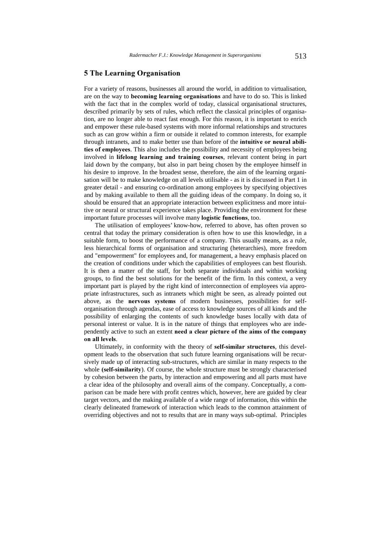#### 5 The Learning Organisation

For a variety of reasons, businesses all around the world, in addition to virtualisation, are on the way to **becoming learning organisations** and have to do so. This is linked with the fact that in the complex world of today, classical organisational structures, described primarily by sets of rules, which reflect the classical principles of organisation, are no longer able to react fast enough. For this reason, it is important to enrich and empower these rule-based systems with more informal relationships and structures such as can grow within a firm or outside it related to common interests, for example through intranets, and to make better use than before of the intuitive or neural abilities of employees. This also includes the possibility and necessity of employees being involved in lifelong learning and training courses, relevant content being in part laid down by the company, but also in part being chosen by the employee himself in his desire to improve. In the broadest sense, therefore, the aim of the learning organisation will be to make knowledge on all levels utilisable - as it is discussed in Part 1 in greater detail - and ensuring co-ordination among employees by specifying objectives and by making available to them all the guiding ideas of the company. In doing so, it should be ensured that an appropriate interaction between explicitness and more intuitive or neural or structural experience takes place. Providing the environment for these important future processes will involve many **logistic functions**, too.

The utilisation of employees' know-how, referred to above, has often proven so central that today the primary consideration is often how to use this knowledge, in a suitable form, to boost the performance of a company. This usually means, as a rule, less hierarchical forms of organisation and structuring (heterarchies), more freedom and "empowerment" for employees and, for management, a heavy emphasis placed on the creation of conditions under which the capabilities of employees can best flourish. It is then a matter of the staff, for both separate individuals and within working groups, to find the best solutions for the benefit of the firm. In this context, a very important part is played by the right kind of interconnection of employees via appropriate infrastructures, such as intranets which might be seen, as already pointed out above, as the nervous systems of modern businesses, possibilities for selforganisation through agendas, ease of access to knowledge sources of all kinds and the possibility of enlarging the contents of such knowledge bases locally with data of personal interest or value. It is in the nature of things that employees who are independently active to such an extent need a clear picture of the aims of the company on all levels.

Ultimately, in conformity with the theory of self-similar structures, this development leads to the observation that such future learning organisations will be recursively made up of interacting sub-structures, which are similar in many respects to the whole (self-similarity). Of course, the whole structure must be strongly characterised by cohesion between the parts, by interaction and empowering and all parts must have a clear idea of the philosophy and overall aims of the company. Conceptually, a comparison can be made here with profit centres which, however, here are guided by clear target vectors, and the making available of a wide range of information, this within the clearly delineated framework of interaction which leads to the common attainment of overriding objectives and not to results that are in many ways sub-optimal. Principles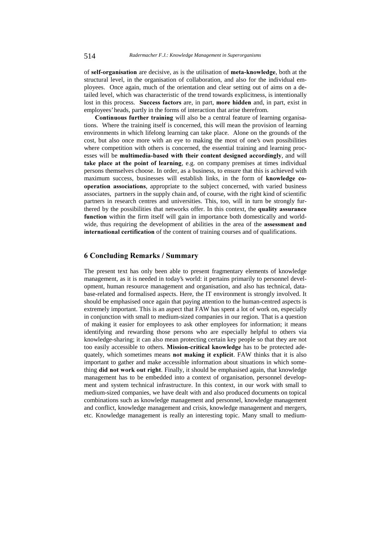of self-organisation are decisive, as is the utilisation of meta-knowledge, both at the structural level, in the organisation of collaboration, and also for the individual employees. Once again, much of the orientation and clear setting out of aims on a detailed level, which was characteristic of the trend towards explicitness, is intentionally lost in this process. Success factors are, in part, more hidden and, in part, exist in employees' heads, partly in the forms of interaction that arise therefrom.

**Continuous further training** will also be a central feature of learning organisations. Where the training itself is concerned, this will mean the provision of learning environments in which lifelong learning can take place. Alone on the grounds of the cost, but also once more with an eye to making the most of one's own possibilities where competition with others is concerned, the essential training and learning processes will be multimedia-based with their content designed accordingly, and will take place at the point of learning, e.g. on company premises at times individual persons themselves choose. In order, as a business, to ensure that this is achieved with maximum success, businesses will establish links, in the form of **knowledge co**operation associations, appropriate to the subject concerned, with varied business associates, partners in the supply chain and, of course, with the right kind of scientific partners in research centres and universities. This, too, will in turn be strongly furthered by the possibilities that networks offer. In this context, the quality assurance function within the firm itself will gain in importance both domestically and worldwide, thus requiring the development of abilities in the area of the **assessment and** international certification of the content of training courses and of qualifications.

### 6 Concluding Remarks / Summary

The present text has only been able to present fragmentary elements of knowledge management, as it is needed in today's world: it pertains primarily to personnel development, human resource management and organisation, and also has technical, database-related and formalised aspects. Here, the IT environment is strongly involved. It should be emphasised once again that paying attention to the human-centred aspects is extremely important. This is an aspect that FAW has spent a lot of work on, especially in conjunction with small to medium-sized companies in our region. That is a question of making it easier for employees to ask other employees for information; it means identifying and rewarding those persons who are especially helpful to others via knowledge-sharing; it can also mean protecting certain key people so that they are not too easily accessible to others. Mission-critical knowledge has to be protected adequately, which sometimes means not making it explicit. FAW thinks that it is also important to gather and make accessible information about situations in which something did not work out right. Finally, it should be emphasised again, that knowledge management has to be embedded into a context of organisation, personnel development and system technical infrastructure. In this context, in our work with small to medium-sized companies, we have dealt with and also produced documents on topical combinations such as knowledge management and personnel, knowledge management and conflict, knowledge management and crisis, knowledge management and mergers, etc. Knowledge management is really an interesting topic. Many small to medium-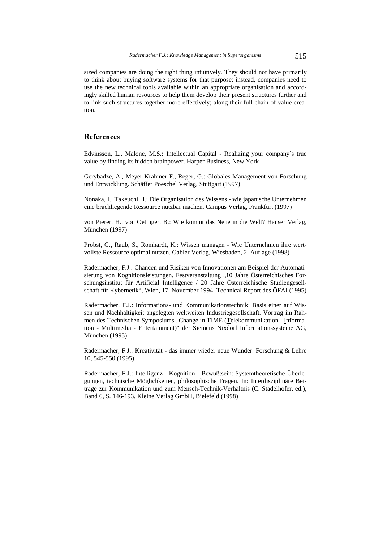sized companies are doing the right thing intuitively. They should not have primarily to think about buying software systems for that purpose; instead, companies need to use the new technical tools available within an appropriate organisation and accordingly skilled human resources to help them develop their present structures further and to link such structures together more effectively; along their full chain of value creation.

### **References**

Edvinsson, L., Malone, M.S.: Intellectual Capital - Realizing your company´s true value by finding its hidden brainpower. Harper Business, New York

Gerybadze, A., Meyer-Krahmer F., Reger, G.: Globales Management von Forschung und Entwicklung. Schäffer Poeschel Verlag, Stuttgart (1997)

Nonaka, I., Takeuchi H.: Die Organisation des Wissens - wie japanische Unternehmen eine brachliegende Ressource nutzbar machen. Campus Verlag, Frankfurt (1997)

von Pierer, H., von Oetinger, B.: Wie kommt das Neue in die Welt? Hanser Verlag, München (1997)

Probst, G., Raub, S., Romhardt, K.: Wissen managen - Wie Unternehmen ihre wertvollste Ressource optimal nutzen. Gabler Verlag, Wiesbaden, 2. Auflage (1998)

Radermacher, F.J.: Chancen und Risiken von Innovationen am Beispiel der Automatisierung von Kognitionsleistungen. Festveranstaltung "10 Jahre Österreichisches Forschungsinstitut für Artificial Intelligence / 20 Jahre Österreichische Studiengesellschaft für Kybernetik", Wien, 17. November 1994, Technical Report des ÖFAI (1995)

Radermacher, F.J.: Informations- und Kommunikationstechnik: Basis einer auf Wissen und Nachhaltigkeit angelegten weltweiten Industriegesellschaft. Vortrag im Rahmen des Technischen Symposiums "Change in TIME (Telekommunikation - Information - Multimedia - Entertainment)" der Siemens Nixdorf Informationssysteme AG, München (1995)

Radermacher, F.J.: Kreativität - das immer wieder neue Wunder. Forschung & Lehre 10, 545-550 (1995)

Radermacher, F.J.: Intelligenz - Kognition - Bewußtsein: Systemtheoretische Überlegungen, technische Möglichkeiten, philosophische Fragen. In: Interdisziplinäre Beiträge zur Kommunikation und zum Mensch-Technik-Verhältnis (C. Stadelhofer, ed.), Band 6, S. 146-193, Kleine Verlag GmbH, Bielefeld (1998)